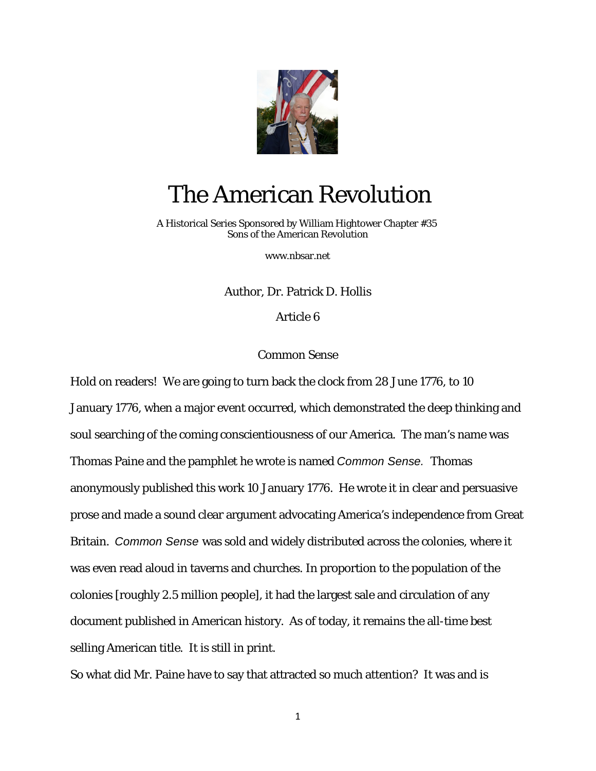

## The American Revolution

 A Historical Series Sponsored by William Hightower Chapter #35 Sons of the American Revolution

[www.nbsar.net](http://www.nbsar.net/)

Author, Dr. Patrick D. Hollis

Article 6

## Common Sense

Hold on readers! We are going to turn back the clock from 28 June 1776, to 10 January 1776, when a major event occurred, which demonstrated the deep thinking and soul searching of the coming conscientiousness of our America. The man's name was Thomas Paine and the pamphlet he wrote is named *Common Sense.* Thomas anonymously published this work 10 January 1776. He wrote it in clear and persuasive prose and made a sound clear argument advocating America's independence from Great Britain. *Common Sense* was sold and widely distributed across the colonies, where it was even read aloud in taverns and churches. In proportion to the population of the colonies [roughly 2.5 million people], it had the largest sale and circulation of any document published in American history. As of today, it remains the all-time best selling American title. It is still in print.

So what did Mr. Paine have to say that attracted so much attention? It was and is

1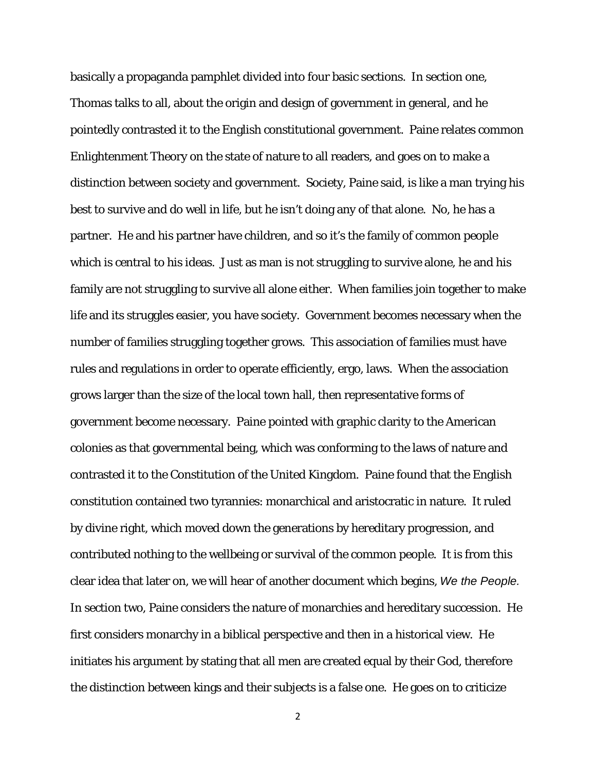basically a propaganda pamphlet divided into four basic sections. In section one, Thomas talks to all, about the origin and design of government in general, and he pointedly contrasted it to the English constitutional government. Paine relates common Enlightenment Theory on the state of nature to all readers, and goes on to make a distinction between society and government. Society, Paine said, is like a man trying his best to survive and do well in life, but he isn't doing any of that alone. No, he has a partner. He and his partner have children, and so it's the family of common people which is central to his ideas. Just as man is not struggling to survive alone, he and his family are not struggling to survive all alone either. When families join together to make life and its struggles easier, you have society. Government becomes necessary when the number of families struggling together grows. This association of families must have rules and regulations in order to operate efficiently, ergo, laws. When the association grows larger than the size of the local town hall, then representative forms of government become necessary. Paine pointed with graphic clarity to the American colonies as that governmental being, which was conforming to the laws of nature and contrasted it to the Constitution of the United Kingdom. Paine found that the English constitution contained two tyrannies: monarchical and aristocratic in nature. It ruled by divine right, which moved down the generations by hereditary progression, and contributed nothing to the wellbeing or survival of the common people. It is from this clear idea that later on, we will hear of another document which begins, *We the People.* In section two, Paine considers the nature of monarchies and hereditary succession. He first considers monarchy in a biblical perspective and then in a historical view. He initiates his argument by stating that all men are created equal by their God, therefore the distinction between kings and their subjects is a false one. He goes on to criticize

2